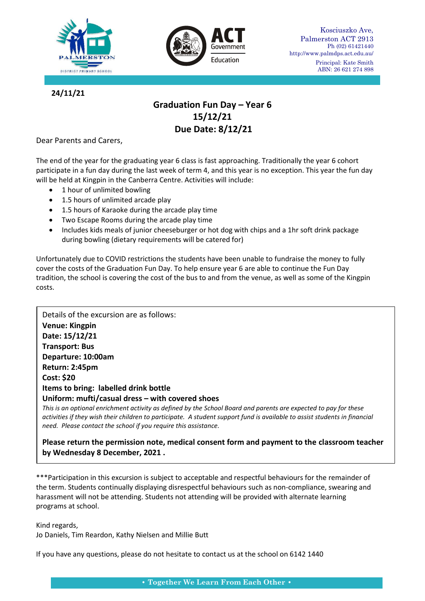



**24/11/21**

# **Graduation Fun Day – Year 6 15/12/21 Due Date: 8/12/21**

Dear Parents and Carers,

The end of the year for the graduating year 6 class is fast approaching. Traditionally the year 6 cohort participate in a fun day during the last week of term 4, and this year is no exception. This year the fun day will be held at Kingpin in the Canberra Centre. Activities will include:

- 1 hour of unlimited bowling
- 1.5 hours of unlimited arcade play
- 1.5 hours of Karaoke during the arcade play time
- Two Escape Rooms during the arcade play time
- Includes kids meals of junior cheeseburger or hot dog with chips and a 1hr soft drink package during bowling (dietary requirements will be catered for)

Unfortunately due to COVID restrictions the students have been unable to fundraise the money to fully cover the costs of the Graduation Fun Day. To help ensure year 6 are able to continue the Fun Day tradition, the school is covering the cost of the bus to and from the venue, as well as some of the Kingpin costs.

Details of the excursion are as follows: **Venue: Kingpin Date: 15/12/21 Transport: Bus Departure: 10:00am Return: 2:45pm Cost: \$20 Items to bring: labelled drink bottle Uniform: mufti/casual dress – with covered shoes**

*This is an optional enrichment activity as defined by the School Board and parents are expected to pay for these activities if they wish their children to participate. A student support fund is available to assist students in financial need. Please contact the school if you require this assistance.*

**Please return the permission note, medical consent form and payment to the classroom teacher by Wednesday 8 December, 2021 .**

\*\*\*Participation in this excursion is subject to acceptable and respectful behaviours for the remainder of the term. Students continually displaying disrespectful behaviours such as non-compliance, swearing and harassment will not be attending. Students not attending will be provided with alternate learning programs at school.

Kind regards,

Jo Daniels, Tim Reardon, Kathy Nielsen and Millie Butt

If you have any questions, please do not hesitate to contact us at the school on 6142 1440